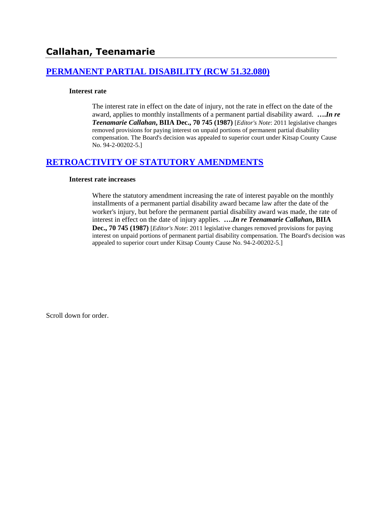# **[PERMANENT PARTIAL DISABILITY \(RCW 51.32.080\)](http://www.biia.wa.gov/SDSubjectIndex.html#PERMANENT_PARTIAL_DISABILITY)**

### **Interest rate**

The interest rate in effect on the date of injury, not the rate in effect on the date of the award, applies to monthly installments of a permanent partial disability award. **….***In re Teenamarie Callahan***, BIIA Dec., 70 745 (1987)** [*Editor's Note*: 2011 legislative changes removed provisions for paying interest on unpaid portions of permanent partial disability compensation. The Board's decision was appealed to superior court under Kitsap County Cause No. 94-2-00202-5.]

# **[RETROACTIVITY OF STATUTORY AMENDMENTS](http://www.biia.wa.gov/SDSubjectIndex.html#RETROACTIVITY_OF_STATUTORY_AMENDMENTS)**

### **Interest rate increases**

Where the statutory amendment increasing the rate of interest payable on the monthly installments of a permanent partial disability award became law after the date of the worker's injury, but before the permanent partial disability award was made, the rate of interest in effect on the date of injury applies. **….***In re Teenamarie Callahan***, BIIA Dec., 70 745 (1987)** [*Editor's Note*: 2011 legislative changes removed provisions for paying interest on unpaid portions of permanent partial disability compensation. The Board's decision was appealed to superior court under Kitsap County Cause No. 94-2-00202-5.]

Scroll down for order.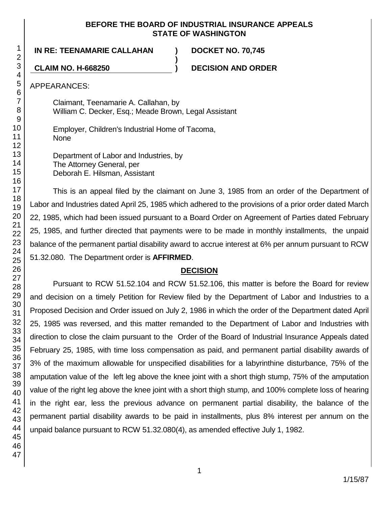## **BEFORE THE BOARD OF INDUSTRIAL INSURANCE APPEALS STATE OF WASHINGTON**

**)**

**IN RE: TEENAMARIE CALLAHAN ) DOCKET NO. 70,745**

**CLAIM NO. H-668250 ) DECISION AND ORDER**

APPEARANCES:

Claimant, Teenamarie A. Callahan, by William C. Decker, Esq.; Meade Brown, Legal Assistant

Employer, Children's Industrial Home of Tacoma, None

Department of Labor and Industries, by The Attorney General, per Deborah E. Hilsman, Assistant

This is an appeal filed by the claimant on June 3, 1985 from an order of the Department of Labor and Industries dated April 25, 1985 which adhered to the provisions of a prior order dated March 22, 1985, which had been issued pursuant to a Board Order on Agreement of Parties dated February 25, 1985, and further directed that payments were to be made in monthly installments, the unpaid balance of the permanent partial disability award to accrue interest at 6% per annum pursuant to RCW 51.32.080. The Department order is **AFFIRMED**.

# **DECISION**

Pursuant to RCW 51.52.104 and RCW 51.52.106, this matter is before the Board for review and decision on a timely Petition for Review filed by the Department of Labor and Industries to a Proposed Decision and Order issued on July 2, 1986 in which the order of the Department dated April 25, 1985 was reversed, and this matter remanded to the Department of Labor and Industries with direction to close the claim pursuant to the Order of the Board of Industrial Insurance Appeals dated February 25, 1985, with time loss compensation as paid, and permanent partial disability awards of 3% of the maximum allowable for unspecified disabilities for a labyrinthine disturbance, 75% of the amputation value of the left leg above the knee joint with a short thigh stump, 75% of the amputation value of the right leg above the knee joint with a short thigh stump, and 100% complete loss of hearing in the right ear, less the previous advance on permanent partial disability, the balance of the permanent partial disability awards to be paid in installments, plus 8% interest per annum on the unpaid balance pursuant to RCW 51.32.080(4), as amended effective July 1, 1982.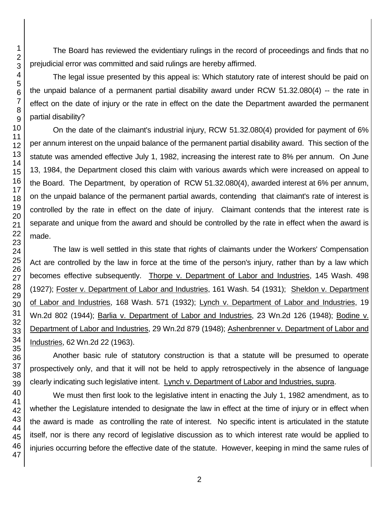The Board has reviewed the evidentiary rulings in the record of proceedings and finds that no prejudicial error was committed and said rulings are hereby affirmed.

The legal issue presented by this appeal is: Which statutory rate of interest should be paid on the unpaid balance of a permanent partial disability award under RCW 51.32.080(4) -- the rate in effect on the date of injury or the rate in effect on the date the Department awarded the permanent partial disability?

On the date of the claimant's industrial injury, RCW 51.32.080(4) provided for payment of 6% per annum interest on the unpaid balance of the permanent partial disability award. This section of the statute was amended effective July 1, 1982, increasing the interest rate to 8% per annum. On June 13, 1984, the Department closed this claim with various awards which were increased on appeal to the Board. The Department, by operation of RCW 51.32.080(4), awarded interest at 6% per annum, on the unpaid balance of the permanent partial awards, contending that claimant's rate of interest is controlled by the rate in effect on the date of injury. Claimant contends that the interest rate is separate and unique from the award and should be controlled by the rate in effect when the award is made.

The law is well settled in this state that rights of claimants under the Workers' Compensation Act are controlled by the law in force at the time of the person's injury, rather than by a law which becomes effective subsequently. Thorpe v. Department of Labor and Industries, 145 Wash. 498 (1927); Foster v. Department of Labor and Industries, 161 Wash. 54 (1931); Sheldon v. Department of Labor and Industries, 168 Wash. 571 (1932); Lynch v. Department of Labor and Industries, 19 Wn.2d 802 (1944); Barlia v. Department of Labor and Industries, 23 Wn.2d 126 (1948); Bodine v. Department of Labor and Industries, 29 Wn.2d 879 (1948); Ashenbrenner v. Department of Labor and Industries, 62 Wn.2d 22 (1963).

Another basic rule of statutory construction is that a statute will be presumed to operate prospectively only, and that it will not be held to apply retrospectively in the absence of language clearly indicating such legislative intent. Lynch v. Department of Labor and Industries, supra.

We must then first look to the legislative intent in enacting the July 1, 1982 amendment, as to whether the Legislature intended to designate the law in effect at the time of injury or in effect when the award is made as controlling the rate of interest. No specific intent is articulated in the statute itself, nor is there any record of legislative discussion as to which interest rate would be applied to injuries occurring before the effective date of the statute. However, keeping in mind the same rules of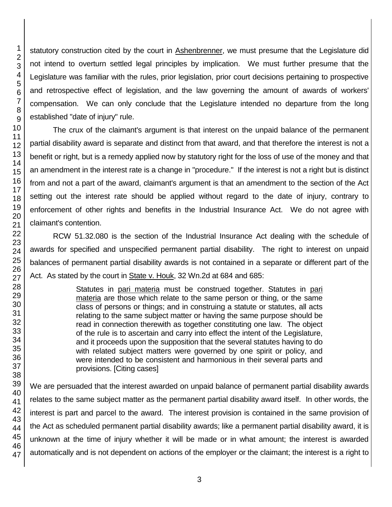statutory construction cited by the court in Ashenbrenner, we must presume that the Legislature did not intend to overturn settled legal principles by implication. We must further presume that the Legislature was familiar with the rules, prior legislation, prior court decisions pertaining to prospective and retrospective effect of legislation, and the law governing the amount of awards of workers' compensation. We can only conclude that the Legislature intended no departure from the long established "date of injury" rule.

The crux of the claimant's argument is that interest on the unpaid balance of the permanent partial disability award is separate and distinct from that award, and that therefore the interest is not a benefit or right, but is a remedy applied now by statutory right for the loss of use of the money and that an amendment in the interest rate is a change in "procedure." If the interest is not a right but is distinct from and not a part of the award, claimant's argument is that an amendment to the section of the Act setting out the interest rate should be applied without regard to the date of injury, contrary to enforcement of other rights and benefits in the Industrial Insurance Act. We do not agree with claimant's contention.

RCW 51.32.080 is the section of the Industrial Insurance Act dealing with the schedule of awards for specified and unspecified permanent partial disability. The right to interest on unpaid balances of permanent partial disability awards is not contained in a separate or different part of the Act. As stated by the court in State v. Houk, 32 Wn.2d at 684 and 685:

> Statutes in pari materia must be construed together. Statutes in pari materia are those which relate to the same person or thing, or the same class of persons or things; and in construing a statute or statutes, all acts relating to the same subject matter or having the same purpose should be read in connection therewith as together constituting one law. The object of the rule is to ascertain and carry into effect the intent of the Legislature, and it proceeds upon the supposition that the several statutes having to do with related subject matters were governed by one spirit or policy, and were intended to be consistent and harmonious in their several parts and provisions. [Citing cases]

We are persuaded that the interest awarded on unpaid balance of permanent partial disability awards relates to the same subject matter as the permanent partial disability award itself. In other words, the interest is part and parcel to the award. The interest provision is contained in the same provision of the Act as scheduled permanent partial disability awards; like a permanent partial disability award, it is unknown at the time of injury whether it will be made or in what amount; the interest is awarded automatically and is not dependent on actions of the employer or the claimant; the interest is a right to

1